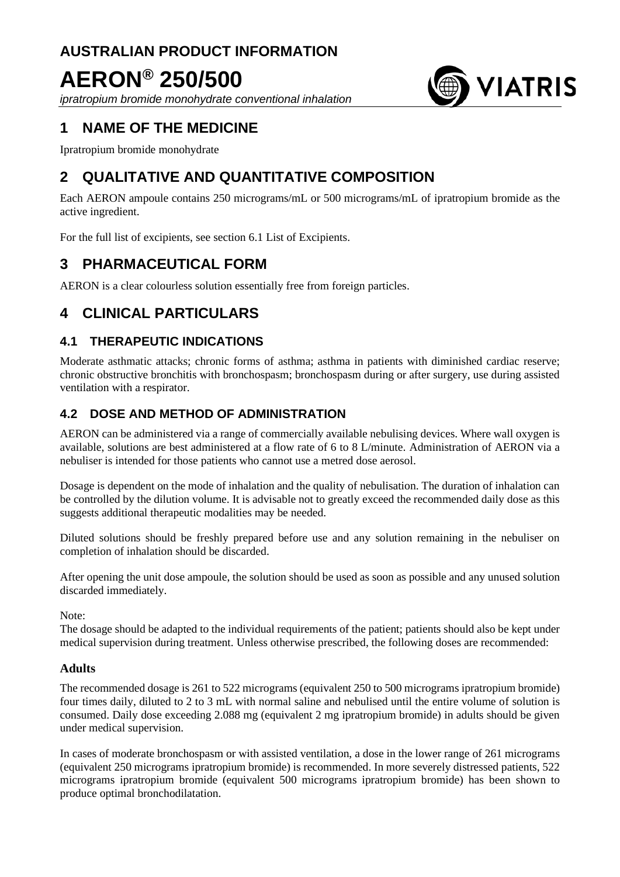# **AUSTRALIAN PRODUCT INFORMATION**

# **AERON® 250/500**

*ipratropium bromide monohydrate conventional inhalation*

# **1 NAME OF THE MEDICINE**

Ipratropium bromide monohydrate

# **2 QUALITATIVE AND QUANTITATIVE COMPOSITION**

Each AERON ampoule contains 250 micrograms/mL or 500 micrograms/mL of ipratropium bromide as the active ingredient.

**WIATRIS** 

For the full list of excipients, see section 6.1 List of Excipients.

# **3 PHARMACEUTICAL FORM**

AERON is a clear colourless solution essentially free from foreign particles.

# **4 CLINICAL PARTICULARS**

# **4.1 THERAPEUTIC INDICATIONS**

Moderate asthmatic attacks; chronic forms of asthma; asthma in patients with diminished cardiac reserve; chronic obstructive bronchitis with bronchospasm; bronchospasm during or after surgery, use during assisted ventilation with a respirator.

# **4.2 DOSE AND METHOD OF ADMINISTRATION**

AERON can be administered via a range of commercially available nebulising devices. Where wall oxygen is available, solutions are best administered at a flow rate of 6 to 8 L/minute. Administration of AERON via a nebuliser is intended for those patients who cannot use a metred dose aerosol.

Dosage is dependent on the mode of inhalation and the quality of nebulisation. The duration of inhalation can be controlled by the dilution volume. It is advisable not to greatly exceed the recommended daily dose as this suggests additional therapeutic modalities may be needed.

Diluted solutions should be freshly prepared before use and any solution remaining in the nebuliser on completion of inhalation should be discarded.

After opening the unit dose ampoule, the solution should be used as soon as possible and any unused solution discarded immediately.

Note:

The dosage should be adapted to the individual requirements of the patient; patients should also be kept under medical supervision during treatment. Unless otherwise prescribed, the following doses are recommended:

# **Adults**

The recommended dosage is 261 to 522 micrograms (equivalent 250 to 500 micrograms ipratropium bromide) four times daily, diluted to 2 to 3 mL with normal saline and nebulised until the entire volume of solution is consumed. Daily dose exceeding 2.088 mg (equivalent 2 mg ipratropium bromide) in adults should be given under medical supervision.

In cases of moderate bronchospasm or with assisted ventilation, a dose in the lower range of 261 micrograms (equivalent 250 micrograms ipratropium bromide) is recommended. In more severely distressed patients, 522 micrograms ipratropium bromide (equivalent 500 micrograms ipratropium bromide) has been shown to produce optimal bronchodilatation.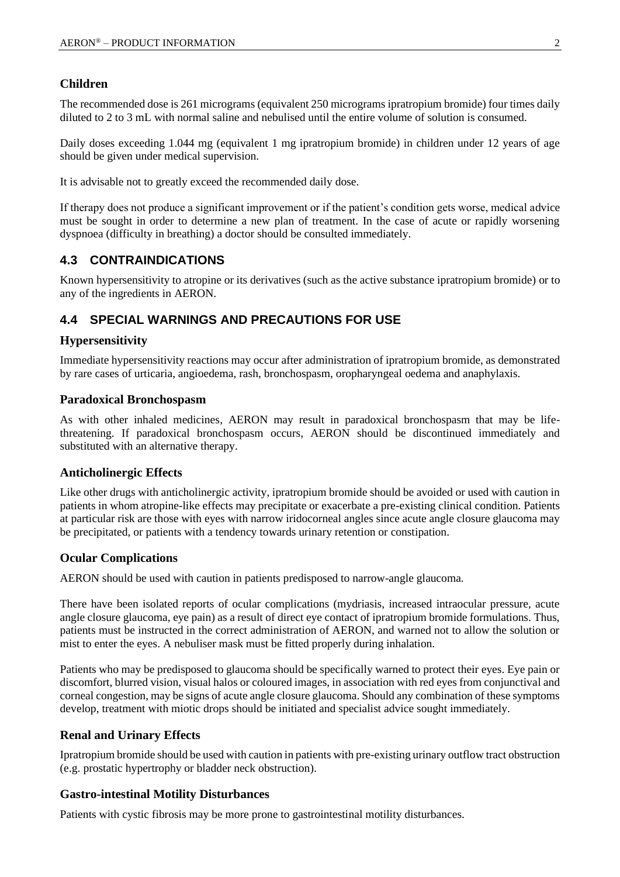### **Children**

The recommended dose is 261 micrograms (equivalent 250 micrograms ipratropium bromide) four times daily diluted to 2 to 3 mL with normal saline and nebulised until the entire volume of solution is consumed.

Daily doses exceeding 1.044 mg (equivalent 1 mg ipratropium bromide) in children under 12 years of age should be given under medical supervision.

It is advisable not to greatly exceed the recommended daily dose.

If therapy does not produce a significant improvement or if the patient's condition gets worse, medical advice must be sought in order to determine a new plan of treatment. In the case of acute or rapidly worsening dyspnoea (difficulty in breathing) a doctor should be consulted immediately.

# **4.3 CONTRAINDICATIONS**

Known hypersensitivity to atropine or its derivatives (such as the active substance ipratropium bromide) or to any of the ingredients in AERON.

# **4.4 SPECIAL WARNINGS AND PRECAUTIONS FOR USE**

### **Hypersensitivity**

Immediate hypersensitivity reactions may occur after administration of ipratropium bromide, as demonstrated by rare cases of urticaria, angioedema, rash, bronchospasm, oropharyngeal oedema and anaphylaxis.

#### **Paradoxical Bronchospasm**

As with other inhaled medicines, AERON may result in paradoxical bronchospasm that may be lifethreatening. If paradoxical bronchospasm occurs, AERON should be discontinued immediately and substituted with an alternative therapy.

#### **Anticholinergic Effects**

Like other drugs with anticholinergic activity, ipratropium bromide should be avoided or used with caution in patients in whom atropine-like effects may precipitate or exacerbate a pre-existing clinical condition. Patients at particular risk are those with eyes with narrow iridocorneal angles since acute angle closure glaucoma may be precipitated, or patients with a tendency towards urinary retention or constipation.

### **Ocular Complications**

AERON should be used with caution in patients predisposed to narrow-angle glaucoma.

There have been isolated reports of ocular complications (mydriasis, increased intraocular pressure, acute angle closure glaucoma, eye pain) as a result of direct eye contact of ipratropium bromide formulations. Thus, patients must be instructed in the correct administration of AERON, and warned not to allow the solution or mist to enter the eyes. A nebuliser mask must be fitted properly during inhalation.

Patients who may be predisposed to glaucoma should be specifically warned to protect their eyes. Eye pain or discomfort, blurred vision, visual halos or coloured images, in association with red eyes from conjunctival and corneal congestion, may be signs of acute angle closure glaucoma. Should any combination of these symptoms develop, treatment with miotic drops should be initiated and specialist advice sought immediately.

### **Renal and Urinary Effects**

Ipratropium bromide should be used with caution in patients with pre-existing urinary outflow tract obstruction (e.g. prostatic hypertrophy or bladder neck obstruction).

### **Gastro-intestinal Motility Disturbances**

Patients with cystic fibrosis may be more prone to gastrointestinal motility disturbances.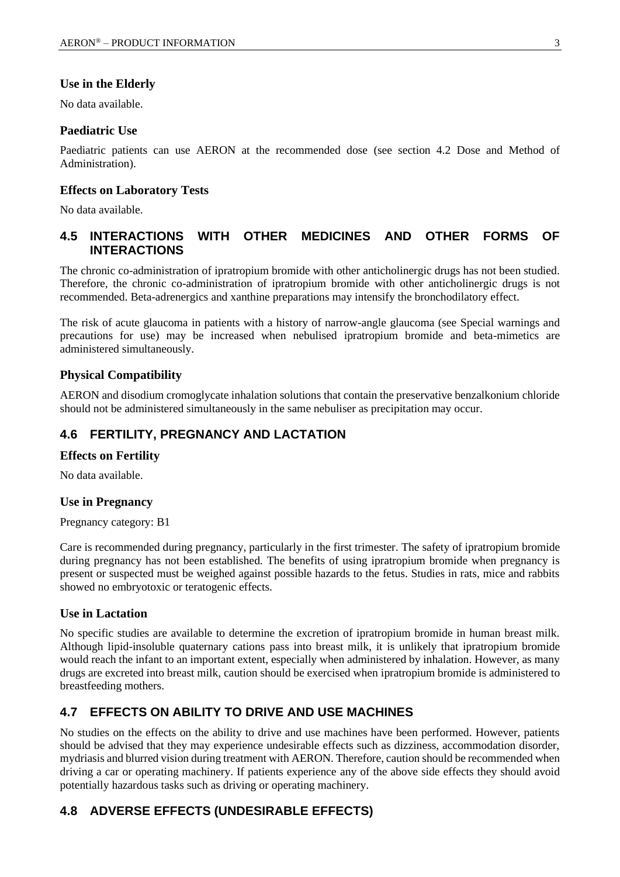### **Use in the Elderly**

No data available.

### **Paediatric Use**

Paediatric patients can use AERON at the recommended dose (see section 4.2 Dose and Method of Administration).

### **Effects on Laboratory Tests**

No data available.

# **4.5 INTERACTIONS WITH OTHER MEDICINES AND OTHER FORMS OF INTERACTIONS**

The chronic co-administration of ipratropium bromide with other anticholinergic drugs has not been studied. Therefore, the chronic co-administration of ipratropium bromide with other anticholinergic drugs is not recommended. Beta-adrenergics and xanthine preparations may intensify the bronchodilatory effect.

The risk of acute glaucoma in patients with a history of narrow-angle glaucoma (see Special warnings and precautions for use) may be increased when nebulised ipratropium bromide and beta-mimetics are administered simultaneously.

### **Physical Compatibility**

AERON and disodium cromoglycate inhalation solutions that contain the preservative benzalkonium chloride should not be administered simultaneously in the same nebuliser as precipitation may occur.

## **4.6 FERTILITY, PREGNANCY AND LACTATION**

#### **Effects on Fertility**

No data available.

#### **Use in Pregnancy**

Pregnancy category: B1

Care is recommended during pregnancy, particularly in the first trimester. The safety of ipratropium bromide during pregnancy has not been established. The benefits of using ipratropium bromide when pregnancy is present or suspected must be weighed against possible hazards to the fetus. Studies in rats, mice and rabbits showed no embryotoxic or teratogenic effects.

#### **Use in Lactation**

No specific studies are available to determine the excretion of ipratropium bromide in human breast milk. Although lipid-insoluble quaternary cations pass into breast milk, it is unlikely that ipratropium bromide would reach the infant to an important extent, especially when administered by inhalation. However, as many drugs are excreted into breast milk, caution should be exercised when ipratropium bromide is administered to breastfeeding mothers.

# **4.7 EFFECTS ON ABILITY TO DRIVE AND USE MACHINES**

No studies on the effects on the ability to drive and use machines have been performed. However, patients should be advised that they may experience undesirable effects such as dizziness, accommodation disorder, mydriasis and blurred vision during treatment with AERON. Therefore, caution should be recommended when driving a car or operating machinery. If patients experience any of the above side effects they should avoid potentially hazardous tasks such as driving or operating machinery.

# **4.8 ADVERSE EFFECTS (UNDESIRABLE EFFECTS)**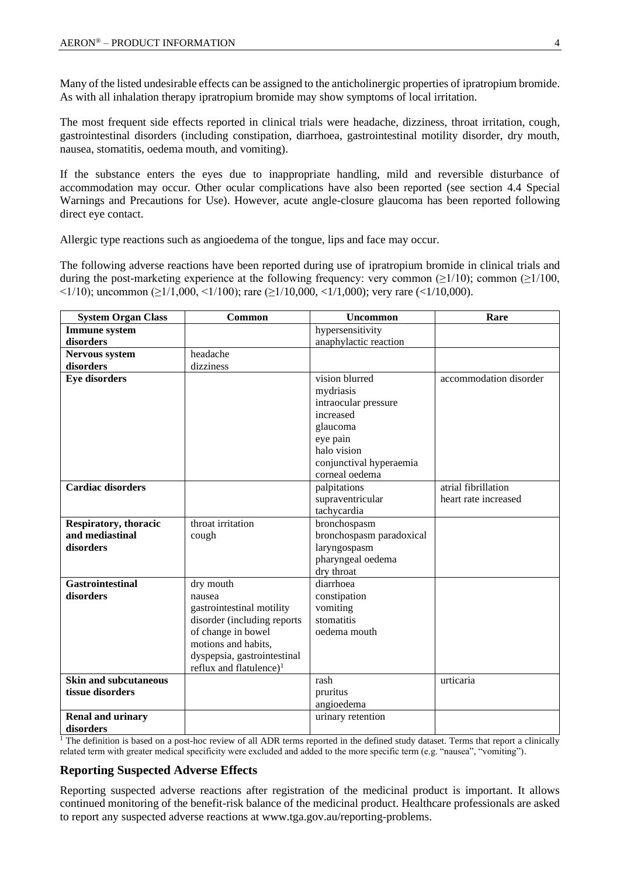Many of the listed undesirable effects can be assigned to the anticholinergic properties of ipratropium bromide. As with all inhalation therapy ipratropium bromide may show symptoms of local irritation.

The most frequent side effects reported in clinical trials were headache, dizziness, throat irritation, cough, gastrointestinal disorders (including constipation, diarrhoea, gastrointestinal motility disorder, dry mouth, nausea, stomatitis, oedema mouth, and vomiting).

If the substance enters the eyes due to inappropriate handling, mild and reversible disturbance of accommodation may occur. Other ocular complications have also been reported (see section 4.4 Special Warnings and Precautions for Use). However, acute angle-closure glaucoma has been reported following direct eye contact.

Allergic type reactions such as angioedema of the tongue, lips and face may occur.

The following adverse reactions have been reported during use of ipratropium bromide in clinical trials and during the post-marketing experience at the following frequency: very common ( $\geq$ 1/10); common ( $\geq$ 1/100,  $\leq$ 1/10); uncommon ( $\geq$ 1/1,000,  $\leq$ 1/100); rare ( $\geq$ 1/10,000,  $\leq$ 1/1,000); very rare ( $\leq$ 1/10,000).

| <b>System Organ Class</b> | Common                              | <b>Uncommon</b>          | Rare                   |
|---------------------------|-------------------------------------|--------------------------|------------------------|
| <b>Immune</b> system      |                                     | hypersensitivity         |                        |
| disorders                 |                                     | anaphylactic reaction    |                        |
| <b>Nervous system</b>     | headache                            |                          |                        |
| disorders                 | dizziness                           |                          |                        |
| <b>Eye disorders</b>      |                                     | vision blurred           | accommodation disorder |
|                           |                                     | mydriasis                |                        |
|                           |                                     | intraocular pressure     |                        |
|                           |                                     | increased                |                        |
|                           |                                     | glaucoma                 |                        |
|                           |                                     | eye pain                 |                        |
|                           |                                     | halo vision              |                        |
|                           |                                     | conjunctival hyperaemia  |                        |
|                           |                                     | corneal oedema           |                        |
| <b>Cardiac disorders</b>  |                                     | palpitations             | atrial fibrillation    |
|                           |                                     | supraventricular         | heart rate increased   |
|                           |                                     | tachycardia              |                        |
| Respiratory, thoracic     | throat irritation                   | bronchospasm             |                        |
| and mediastinal           | cough                               | bronchospasm paradoxical |                        |
| disorders                 |                                     | laryngospasm             |                        |
|                           |                                     | pharyngeal oedema        |                        |
|                           |                                     | dry throat               |                        |
| <b>Gastrointestinal</b>   | dry mouth                           | diarrhoea                |                        |
| disorders                 | nausea                              | constipation             |                        |
|                           | gastrointestinal motility           | vomiting                 |                        |
|                           | disorder (including reports         | stomatitis               |                        |
|                           | of change in bowel                  | oedema mouth             |                        |
|                           | motions and habits,                 |                          |                        |
|                           | dyspepsia, gastrointestinal         |                          |                        |
|                           | reflux and flatulence) <sup>1</sup> |                          |                        |
| Skin and subcutaneous     |                                     | rash                     | urticaria              |
| tissue disorders          |                                     | pruritus                 |                        |
|                           |                                     | angioedema               |                        |
| <b>Renal and urinary</b>  |                                     | urinary retention        |                        |
| disorders                 |                                     |                          |                        |

 $<sup>1</sup>$  The definition is based on a post-hoc review of all ADR terms reported in the defined study dataset. Terms that report a clinically</sup> related term with greater medical specificity were excluded and added to the more specific term (e.g. "nausea", "vomiting").

### **Reporting Suspected Adverse Effects**

Reporting suspected adverse reactions after registration of the medicinal product is important. It allows continued monitoring of the benefit-risk balance of the medicinal product. Healthcare professionals are asked to report any suspected adverse reactions at [www.tga.gov.au/reporting-problems.](http://www.tga.gov.au/reporting-problems)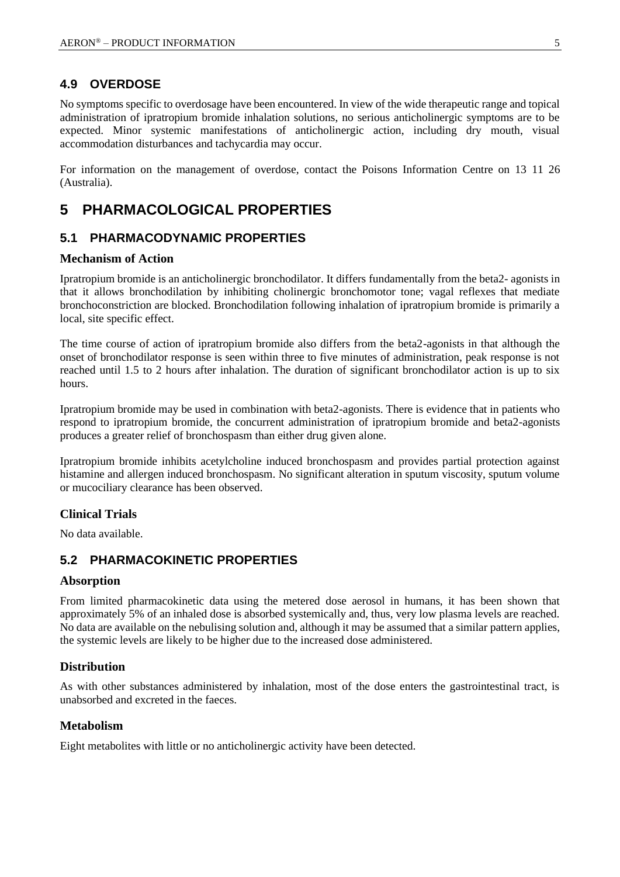# **4.9 OVERDOSE**

No symptoms specific to overdosage have been encountered. In view of the wide therapeutic range and topical administration of ipratropium bromide inhalation solutions, no serious anticholinergic symptoms are to be expected. Minor systemic manifestations of anticholinergic action, including dry mouth, visual accommodation disturbances and tachycardia may occur.

For information on the management of overdose, contact the Poisons Information Centre on 13 11 26 (Australia).

# **5 PHARMACOLOGICAL PROPERTIES**

# **5.1 PHARMACODYNAMIC PROPERTIES**

### **Mechanism of Action**

Ipratropium bromide is an anticholinergic bronchodilator. It differs fundamentally from the beta2- agonists in that it allows bronchodilation by inhibiting cholinergic bronchomotor tone; vagal reflexes that mediate bronchoconstriction are blocked. Bronchodilation following inhalation of ipratropium bromide is primarily a local, site specific effect.

The time course of action of ipratropium bromide also differs from the beta2-agonists in that although the onset of bronchodilator response is seen within three to five minutes of administration, peak response is not reached until 1.5 to 2 hours after inhalation. The duration of significant bronchodilator action is up to six hours.

Ipratropium bromide may be used in combination with beta2-agonists. There is evidence that in patients who respond to ipratropium bromide, the concurrent administration of ipratropium bromide and beta2-agonists produces a greater relief of bronchospasm than either drug given alone.

Ipratropium bromide inhibits acetylcholine induced bronchospasm and provides partial protection against histamine and allergen induced bronchospasm. No significant alteration in sputum viscosity, sputum volume or mucociliary clearance has been observed.

### **Clinical Trials**

No data available.

# **5.2 PHARMACOKINETIC PROPERTIES**

#### **Absorption**

From limited pharmacokinetic data using the metered dose aerosol in humans, it has been shown that approximately 5% of an inhaled dose is absorbed systemically and, thus, very low plasma levels are reached. No data are available on the nebulising solution and, although it may be assumed that a similar pattern applies, the systemic levels are likely to be higher due to the increased dose administered.

#### **Distribution**

As with other substances administered by inhalation, most of the dose enters the gastrointestinal tract, is unabsorbed and excreted in the faeces.

#### **Metabolism**

Eight metabolites with little or no anticholinergic activity have been detected.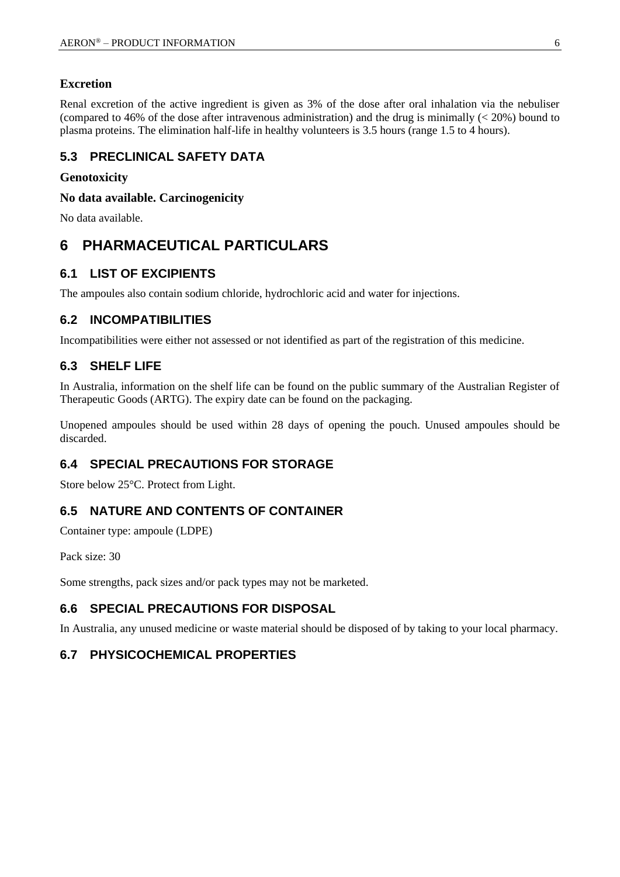### **Excretion**

Renal excretion of the active ingredient is given as 3% of the dose after oral inhalation via the nebuliser (compared to 46% of the dose after intravenous administration) and the drug is minimally (< 20%) bound to plasma proteins. The elimination half-life in healthy volunteers is 3.5 hours (range 1.5 to 4 hours).

# **5.3 PRECLINICAL SAFETY DATA**

### **Genotoxicity**

**No data available. Carcinogenicity**

No data available.

# **6 PHARMACEUTICAL PARTICULARS**

### **6.1 LIST OF EXCIPIENTS**

The ampoules also contain sodium chloride, hydrochloric acid and water for injections.

# **6.2 INCOMPATIBILITIES**

Incompatibilities were either not assessed or not identified as part of the registration of this medicine.

### **6.3 SHELF LIFE**

In Australia, information on the shelf life can be found on the public summary of the Australian Register of Therapeutic Goods (ARTG). The expiry date can be found on the packaging.

Unopened ampoules should be used within 28 days of opening the pouch. Unused ampoules should be discarded.

# **6.4 SPECIAL PRECAUTIONS FOR STORAGE**

Store below 25°C. Protect from Light.

### **6.5 NATURE AND CONTENTS OF CONTAINER**

Container type: ampoule (LDPE)

Pack size: 30

Some strengths, pack sizes and/or pack types may not be marketed.

# **6.6 SPECIAL PRECAUTIONS FOR DISPOSAL**

In Australia, any unused medicine or waste material should be disposed of by taking to your local pharmacy.

## **6.7 PHYSICOCHEMICAL PROPERTIES**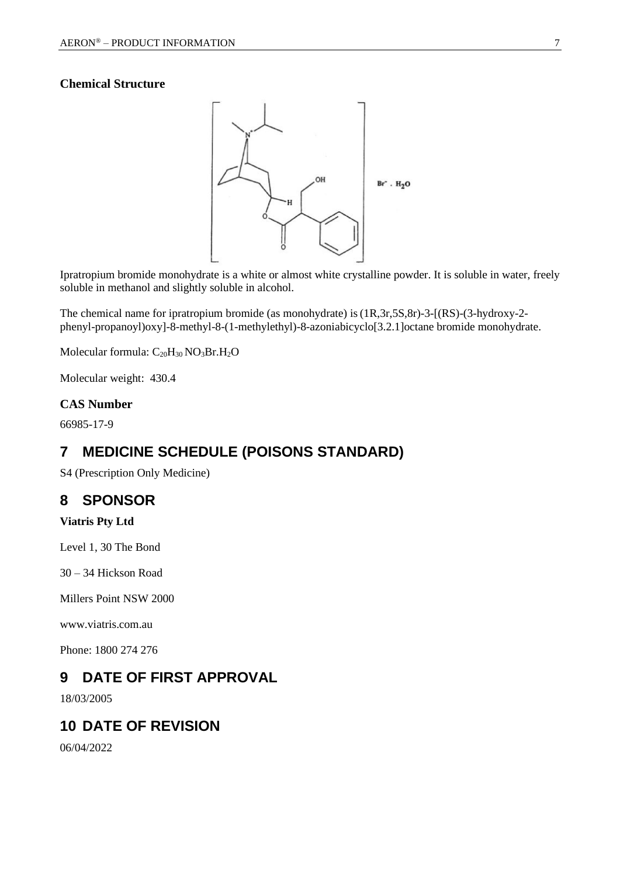### **Chemical Structure**



Ipratropium bromide monohydrate is a white or almost white crystalline powder. It is soluble in water, freely soluble in methanol and slightly soluble in alcohol.

The chemical name for ipratropium bromide (as monohydrate) is(1R,3r,5S,8r)-3-[(RS)-(3-hydroxy-2 phenyl-propanoyl)oxy]-8-methyl-8-(1-methylethyl)-8-azoniabicyclo[3.2.1]octane bromide monohydrate.

Molecular formula: C<sub>20</sub>H<sub>30</sub> NO<sub>3</sub>Br.H<sub>2</sub>O

Molecular weight: 430.4

## **CAS Number**

66985-17-9

# **7 MEDICINE SCHEDULE (POISONS STANDARD)**

S4 (Prescription Only Medicine)

# **8 SPONSOR**

### **Viatris Pty Ltd**

Level 1, 30 The Bond

30 – 34 Hickson Road

Millers Point NSW 2000

www.viatris.com.au

Phone: 1800 274 276

# **9 DATE OF FIRST APPROVAL**

18/03/2005

# **10 DATE OF REVISION**

06/04/2022